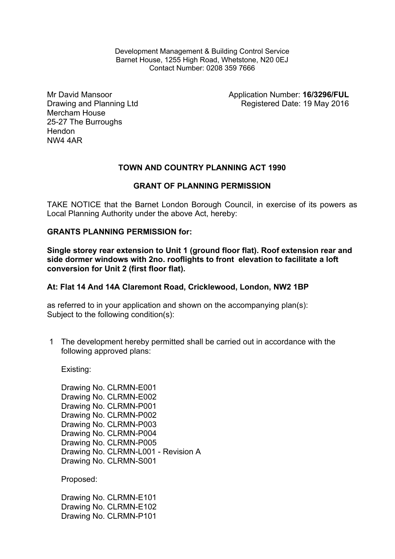Development Management & Building Control Service Barnet House, 1255 High Road, Whetstone, N20 0EJ Contact Number: 0208 359 7666

Mr David Mansoor Drawing and Planning Ltd Mercham House 25-27 The Burroughs Hendon NW4 4AR

Application Number: **16/3296/FUL** Registered Date: 19 May 2016

# **TOWN AND COUNTRY PLANNING ACT 1990**

## **GRANT OF PLANNING PERMISSION**

TAKE NOTICE that the Barnet London Borough Council, in exercise of its powers as Local Planning Authority under the above Act, hereby:

## **GRANTS PLANNING PERMISSION for:**

**Single storey rear extension to Unit 1 (ground floor flat). Roof extension rear and side dormer windows with 2no. rooflights to front elevation to facilitate a loft conversion for Unit 2 (first floor flat).**

#### **At: Flat 14 And 14A Claremont Road, Cricklewood, London, NW2 1BP**

as referred to in your application and shown on the accompanying plan(s): Subject to the following condition(s):

1 The development hereby permitted shall be carried out in accordance with the following approved plans:

Existing:

Drawing No. CLRMN-E001 Drawing No. CLRMN-E002 Drawing No. CLRMN-P001 Drawing No. CLRMN-P002 Drawing No. CLRMN-P003 Drawing No. CLRMN-P004 Drawing No. CLRMN-P005 Drawing No. CLRMN-L001 - Revision A Drawing No. CLRMN-S001

Proposed:

Drawing No. CLRMN-E101 Drawing No. CLRMN-E102 Drawing No. CLRMN-P101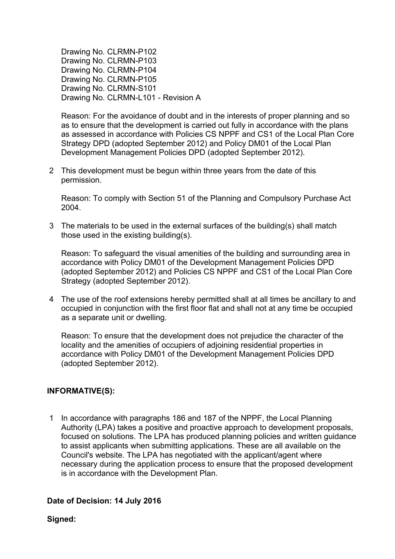Drawing No. CLRMN-P102 Drawing No. CLRMN-P103 Drawing No. CLRMN-P104 Drawing No. CLRMN-P105 Drawing No. CLRMN-S101 Drawing No. CLRMN-L101 - Revision A

Reason: For the avoidance of doubt and in the interests of proper planning and so as to ensure that the development is carried out fully in accordance with the plans as assessed in accordance with Policies CS NPPF and CS1 of the Local Plan Core Strategy DPD (adopted September 2012) and Policy DM01 of the Local Plan Development Management Policies DPD (adopted September 2012).

2 This development must be begun within three years from the date of this permission.

Reason: To comply with Section 51 of the Planning and Compulsory Purchase Act 2004.

3 The materials to be used in the external surfaces of the building(s) shall match those used in the existing building(s).

Reason: To safeguard the visual amenities of the building and surrounding area in accordance with Policy DM01 of the Development Management Policies DPD (adopted September 2012) and Policies CS NPPF and CS1 of the Local Plan Core Strategy (adopted September 2012).

4 The use of the roof extensions hereby permitted shall at all times be ancillary to and occupied in conjunction with the first floor flat and shall not at any time be occupied as a separate unit or dwelling.

Reason: To ensure that the development does not prejudice the character of the locality and the amenities of occupiers of adjoining residential properties in accordance with Policy DM01 of the Development Management Policies DPD (adopted September 2012).

# **INFORMATIVE(S):**

1 In accordance with paragraphs 186 and 187 of the NPPF, the Local Planning Authority (LPA) takes a positive and proactive approach to development proposals, focused on solutions. The LPA has produced planning policies and written guidance to assist applicants when submitting applications. These are all available on the Council's website. The LPA has negotiated with the applicant/agent where necessary during the application process to ensure that the proposed development is in accordance with the Development Plan.

#### **Date of Decision: 14 July 2016**

**Signed:**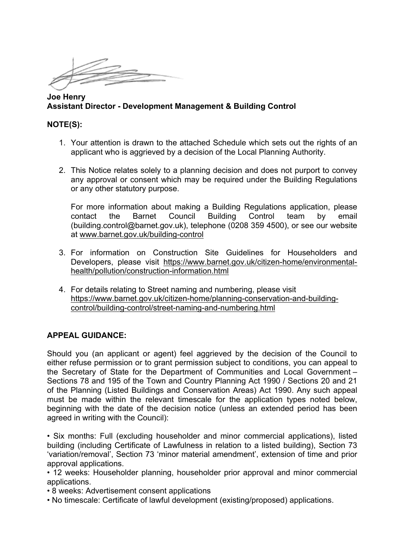**Joe Henry Assistant Director - Development Management & Building Control**

### **NOTE(S):**

- 1. Your attention is drawn to the attached Schedule which sets out the rights of an applicant who is aggrieved by a decision of the Local Planning Authority.
- 2. This Notice relates solely to a planning decision and does not purport to convey any approval or consent which may be required under the Building Regulations or any other statutory purpose.

For more information about making a Building Regulations application, please contact the Barnet Council Building Control team by email (building.control@barnet.gov.uk), telephone (0208 359 4500), or see our website at [www.barnet.gov.uk/building-control](http://www.barnet.gov.uk/building-control)

- 3. For information on Construction Site Guidelines for Householders and Developers, please visit [https://www.barnet.gov.uk/citizen-home/environmental](https://www.barnet.gov.uk/citizen-home/environmental-health/pollution/construction-information.html)[health/pollution/construction-information.html](https://www.barnet.gov.uk/citizen-home/environmental-health/pollution/construction-information.html)
- 4. For details relating to Street naming and numbering, please visit [https://www.barnet.gov.uk/citizen-home/planning-conservation-and-building](https://www.barnet.gov.uk/citizen-home/planning-conservation-and-building-control/building-control/street-naming-and-numbering.html)[control/building-control/street-naming-and-numbering.html](https://www.barnet.gov.uk/citizen-home/planning-conservation-and-building-control/building-control/street-naming-and-numbering.html)

# **APPEAL GUIDANCE:**

Should you (an applicant or agent) feel aggrieved by the decision of the Council to either refuse permission or to grant permission subject to conditions, you can appeal to the Secretary of State for the Department of Communities and Local Government – Sections 78 and 195 of the Town and Country Planning Act 1990 / Sections 20 and 21 of the Planning (Listed Buildings and Conservation Areas) Act 1990. Any such appeal must be made within the relevant timescale for the application types noted below, beginning with the date of the decision notice (unless an extended period has been agreed in writing with the Council):

• Six months: Full (excluding householder and minor commercial applications), listed building (including Certificate of Lawfulness in relation to a listed building), Section 73 'variation/removal', Section 73 'minor material amendment', extension of time and prior approval applications.

• 12 weeks: Householder planning, householder prior approval and minor commercial applications.

- 8 weeks: Advertisement consent applications
- No timescale: Certificate of lawful development (existing/proposed) applications.